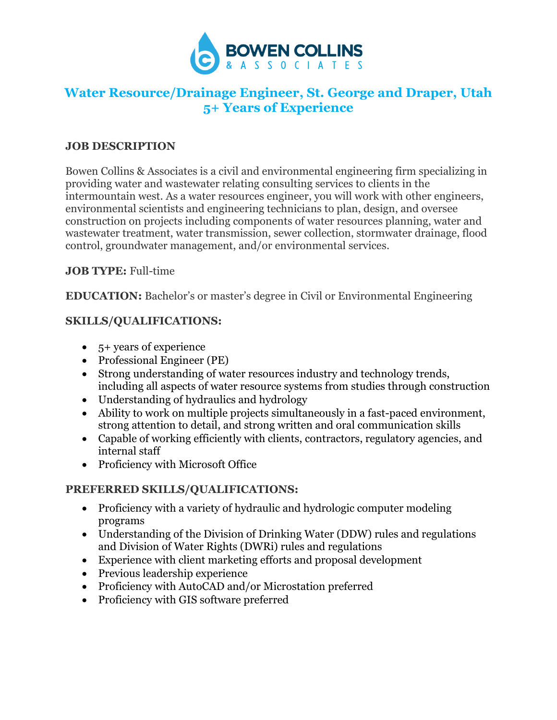

# **Water Resource/Drainage Engineer, St. George and Draper, Utah 5+ Years of Experience**

#### **JOB DESCRIPTION**

Bowen Collins & Associates is a civil and environmental engineering firm specializing in providing water and wastewater relating consulting services to clients in the intermountain west. As a water resources engineer, you will work with other engineers, environmental scientists and engineering technicians to plan, design, and oversee construction on projects including components of water resources planning, water and wastewater treatment, water transmission, sewer collection, stormwater drainage, flood control, groundwater management, and/or environmental services.

## **JOB TYPE:** Full-time

**EDUCATION:** Bachelor's or master's degree in Civil or Environmental Engineering

## **SKILLS/QUALIFICATIONS:**

- 5+ years of experience
- Professional Engineer (PE)
- Strong understanding of water resources industry and technology trends, including all aspects of water resource systems from studies through construction
- Understanding of hydraulics and hydrology
- Ability to work on multiple projects simultaneously in a fast-paced environment, strong attention to detail, and strong written and oral communication skills
- Capable of working efficiently with clients, contractors, regulatory agencies, and internal staff
- Proficiency with Microsoft Office

# **PREFERRED SKILLS/QUALIFICATIONS:**

- Proficiency with a variety of hydraulic and hydrologic computer modeling programs
- Understanding of the Division of Drinking Water (DDW) rules and regulations and Division of Water Rights (DWRi) rules and regulations
- Experience with client marketing efforts and proposal development
- Previous leadership experience
- Proficiency with AutoCAD and/or Microstation preferred
- Proficiency with GIS software preferred